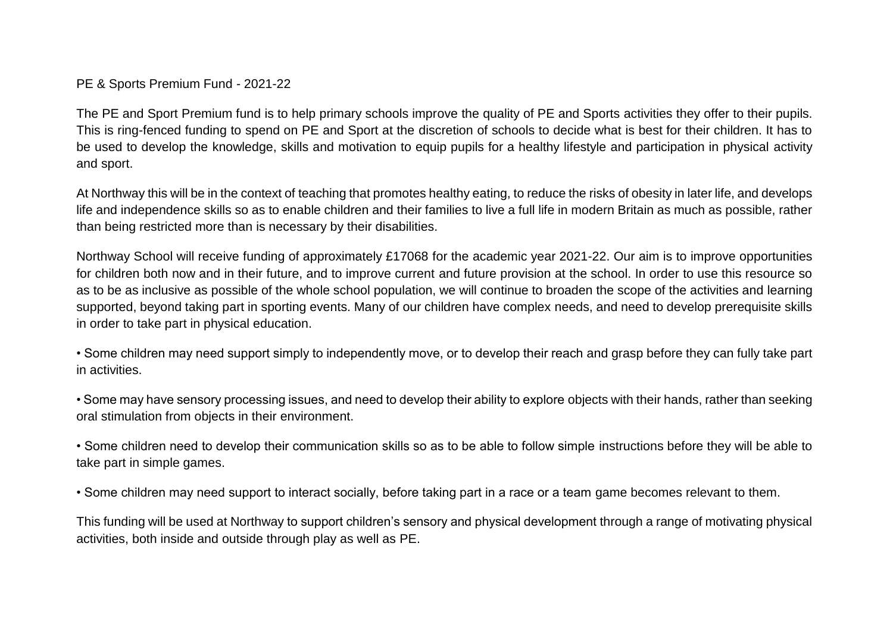PE & Sports Premium Fund - 2021-22

The PE and Sport Premium fund is to help primary schools improve the quality of PE and Sports activities they offer to their pupils. This is ring-fenced funding to spend on PE and Sport at the discretion of schools to decide what is best for their children. It has to be used to develop the knowledge, skills and motivation to equip pupils for a healthy lifestyle and participation in physical activity and sport.

At Northway this will be in the context of teaching that promotes healthy eating, to reduce the risks of obesity in later life, and develops life and independence skills so as to enable children and their families to live a full life in modern Britain as much as possible, rather than being restricted more than is necessary by their disabilities.

Northway School will receive funding of approximately £17068 for the academic year 2021-22. Our aim is to improve opportunities for children both now and in their future, and to improve current and future provision at the school. In order to use this resource so as to be as inclusive as possible of the whole school population, we will continue to broaden the scope of the activities and learning supported, beyond taking part in sporting events. Many of our children have complex needs, and need to develop prerequisite skills in order to take part in physical education.

• Some children may need support simply to independently move, or to develop their reach and grasp before they can fully take part in activities.

• Some may have sensory processing issues, and need to develop their ability to explore objects with their hands, rather than seeking oral stimulation from objects in their environment.

• Some children need to develop their communication skills so as to be able to follow simple instructions before they will be able to take part in simple games.

• Some children may need support to interact socially, before taking part in a race or a team game becomes relevant to them.

This funding will be used at Northway to support children's sensory and physical development through a range of motivating physical activities, both inside and outside through play as well as PE.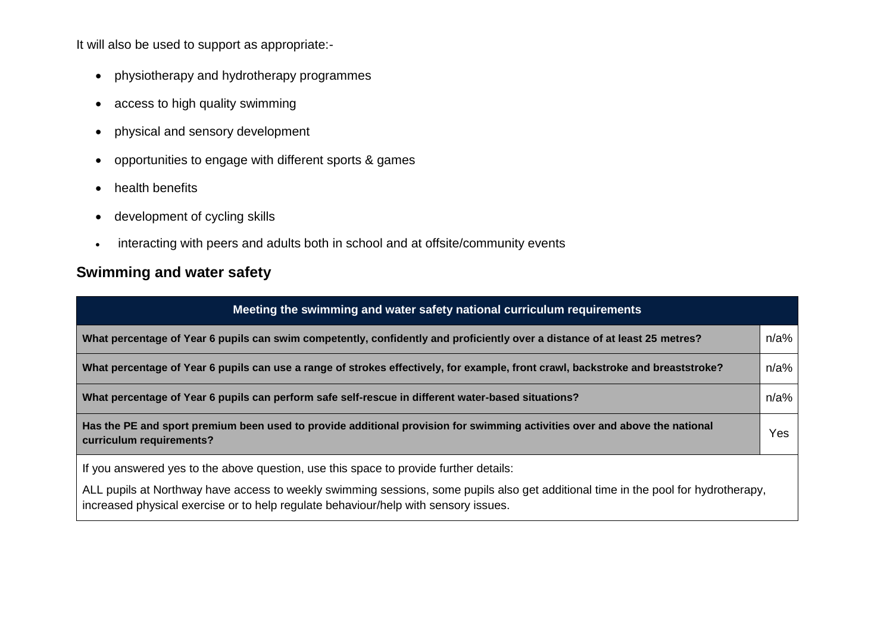It will also be used to support as appropriate:-

- physiotherapy and hydrotherapy programmes
- access to high quality swimming
- physical and sensory development
- opportunities to engage with different sports & games
- health benefits
- development of cycling skills
- interacting with peers and adults both in school and at offsite/community events

## **Swimming and water safety**

| Meeting the swimming and water safety national curriculum requirements                                                                                                                                                    |         |  |  |  |
|---------------------------------------------------------------------------------------------------------------------------------------------------------------------------------------------------------------------------|---------|--|--|--|
| What percentage of Year 6 pupils can swim competently, confidently and proficiently over a distance of at least 25 metres?                                                                                                | $n/a\%$ |  |  |  |
| What percentage of Year 6 pupils can use a range of strokes effectively, for example, front crawl, backstroke and breaststroke?                                                                                           | $n/a\%$ |  |  |  |
| What percentage of Year 6 pupils can perform safe self-rescue in different water-based situations?                                                                                                                        | $n/a\%$ |  |  |  |
| Has the PE and sport premium been used to provide additional provision for swimming activities over and above the national<br>curriculum requirements?                                                                    | Yes     |  |  |  |
| If you answered yes to the above question, use this space to provide further details:                                                                                                                                     |         |  |  |  |
| ALL pupils at Northway have access to weekly swimming sessions, some pupils also get additional time in the pool for hydrotherapy,<br>increased physical exercise or to help regulate behaviour/help with sensory issues. |         |  |  |  |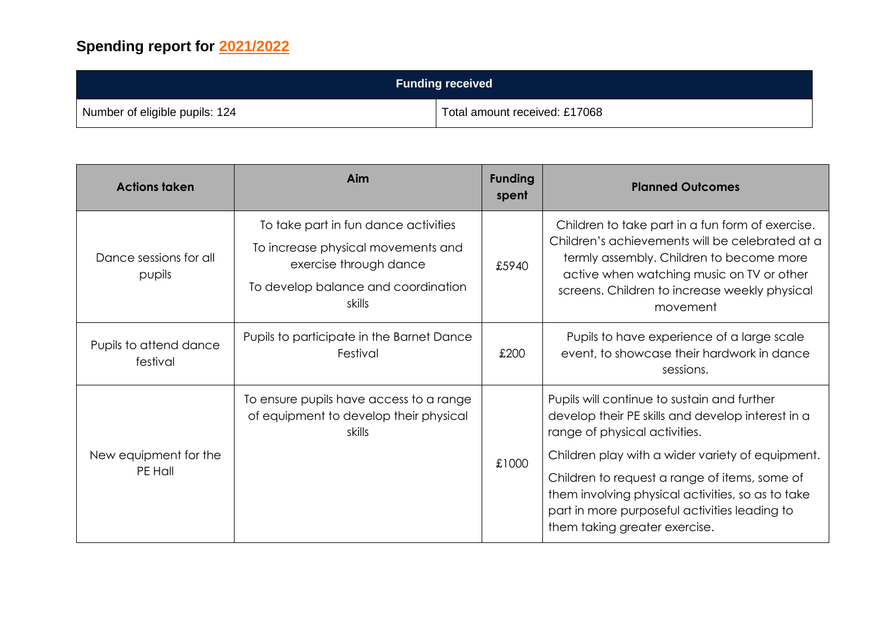## **Spending report for 2021/2022**

| <b>Funding received</b>        |                               |  |  |
|--------------------------------|-------------------------------|--|--|
| Number of eligible pupils: 124 | Total amount received: £17068 |  |  |

| <b>Actions taken</b>               | Aim                                                                                                                                                   | <b>Funding</b><br>spent | <b>Planned Outcomes</b>                                                                                                                                                                                                                                                                                                                                                       |
|------------------------------------|-------------------------------------------------------------------------------------------------------------------------------------------------------|-------------------------|-------------------------------------------------------------------------------------------------------------------------------------------------------------------------------------------------------------------------------------------------------------------------------------------------------------------------------------------------------------------------------|
| Dance sessions for all<br>pupils   | To take part in fun dance activities<br>To increase physical movements and<br>exercise through dance<br>To develop balance and coordination<br>skills | £5940                   | Children to take part in a fun form of exercise.<br>Children's achievements will be celebrated at a<br>termly assembly. Children to become more<br>active when watching music on TV or other<br>screens. Children to increase weekly physical<br>movement                                                                                                                     |
| Pupils to attend dance<br>festival | Pupils to participate in the Barnet Dance<br>Festival                                                                                                 | £200                    | Pupils to have experience of a large scale<br>event, to showcase their hardwork in dance<br>sessions.                                                                                                                                                                                                                                                                         |
| New equipment for the<br>PE Hall   | To ensure pupils have access to a range<br>of equipment to develop their physical<br>skills                                                           | £1000                   | Pupils will continue to sustain and further<br>develop their PE skills and develop interest in a<br>range of physical activities.<br>Children play with a wider variety of equipment.<br>Children to request a range of items, some of<br>them involving physical activities, so as to take<br>part in more purposeful activities leading to<br>them taking greater exercise. |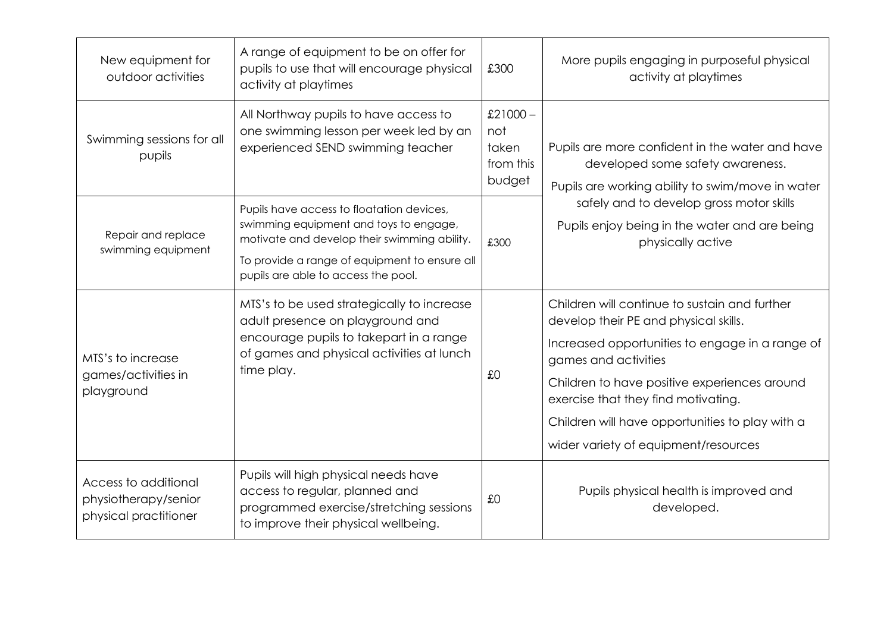| New equipment for<br>outdoor activities                               | A range of equipment to be on offer for<br>pupils to use that will encourage physical<br>activity at playtimes                                                                                                              | £300                                              | More pupils engaging in purposeful physical<br>activity at playtimes                                                                                                                                                                                                                                                                                |
|-----------------------------------------------------------------------|-----------------------------------------------------------------------------------------------------------------------------------------------------------------------------------------------------------------------------|---------------------------------------------------|-----------------------------------------------------------------------------------------------------------------------------------------------------------------------------------------------------------------------------------------------------------------------------------------------------------------------------------------------------|
| Swimming sessions for all<br>pupils                                   | All Northway pupils to have access to<br>one swimming lesson per week led by an<br>experienced SEND swimming teacher                                                                                                        | £21000 $-$<br>not<br>taken<br>from this<br>budget | Pupils are more confident in the water and have<br>developed some safety awareness.<br>Pupils are working ability to swim/move in water                                                                                                                                                                                                             |
| Repair and replace<br>swimming equipment                              | Pupils have access to floatation devices,<br>swimming equipment and toys to engage,<br>motivate and develop their swimming ability.<br>To provide a range of equipment to ensure all<br>pupils are able to access the pool. | £300                                              | safely and to develop gross motor skills<br>Pupils enjoy being in the water and are being<br>physically active                                                                                                                                                                                                                                      |
| MTS's to increase<br>games/activities in<br>playground                | MTS's to be used strategically to increase<br>adult presence on playground and<br>encourage pupils to takepart in a range<br>of games and physical activities at lunch<br>time play.                                        | £0                                                | Children will continue to sustain and further<br>develop their PE and physical skills.<br>Increased opportunities to engage in a range of<br>games and activities<br>Children to have positive experiences around<br>exercise that they find motivating.<br>Children will have opportunities to play with a<br>wider variety of equipment/resources |
| Access to additional<br>physiotherapy/senior<br>physical practitioner | Pupils will high physical needs have<br>access to regular, planned and<br>programmed exercise/stretching sessions<br>to improve their physical wellbeing.                                                                   | £0                                                | Pupils physical health is improved and<br>developed.                                                                                                                                                                                                                                                                                                |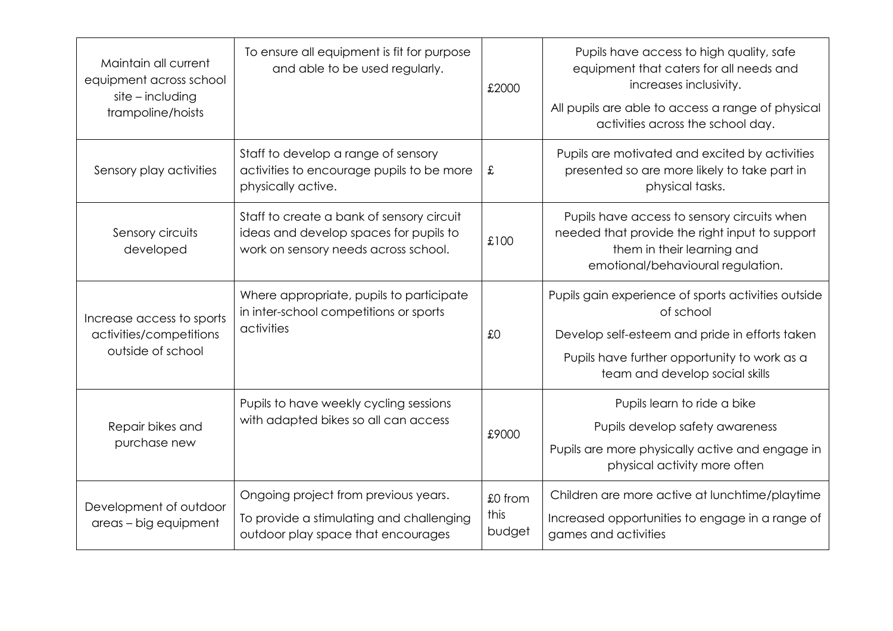| Maintain all current<br>equipment across school<br>$site$ - including<br>trampoline/hoists | To ensure all equipment is fit for purpose<br>and able to be used regularly.                                                | £2000                     | Pupils have access to high quality, safe<br>equipment that caters for all needs and<br>increases inclusivity.<br>All pupils are able to access a range of physical<br>activities across the school day. |
|--------------------------------------------------------------------------------------------|-----------------------------------------------------------------------------------------------------------------------------|---------------------------|---------------------------------------------------------------------------------------------------------------------------------------------------------------------------------------------------------|
| Sensory play activities                                                                    | Staff to develop a range of sensory<br>activities to encourage pupils to be more<br>physically active.                      | £                         | Pupils are motivated and excited by activities<br>presented so are more likely to take part in<br>physical tasks.                                                                                       |
| Sensory circuits<br>developed                                                              | Staff to create a bank of sensory circuit<br>ideas and develop spaces for pupils to<br>work on sensory needs across school. | £100                      | Pupils have access to sensory circuits when<br>needed that provide the right input to support<br>them in their learning and<br>emotional/behavioural regulation.                                        |
| Increase access to sports<br>activities/competitions<br>outside of school                  | Where appropriate, pupils to participate<br>in inter-school competitions or sports<br>activities                            | £0                        | Pupils gain experience of sports activities outside<br>of school<br>Develop self-esteem and pride in efforts taken<br>Pupils have further opportunity to work as a<br>team and develop social skills    |
| Repair bikes and<br>purchase new                                                           | Pupils to have weekly cycling sessions<br>with adapted bikes so all can access                                              | £9000                     | Pupils learn to ride a bike<br>Pupils develop safety awareness<br>Pupils are more physically active and engage in<br>physical activity more often                                                       |
| Development of outdoor<br>areas - big equipment                                            | Ongoing project from previous years.<br>To provide a stimulating and challenging<br>outdoor play space that encourages      | £0 from<br>this<br>budget | Children are more active at lunchtime/playtime<br>Increased opportunities to engage in a range of<br>games and activities                                                                               |